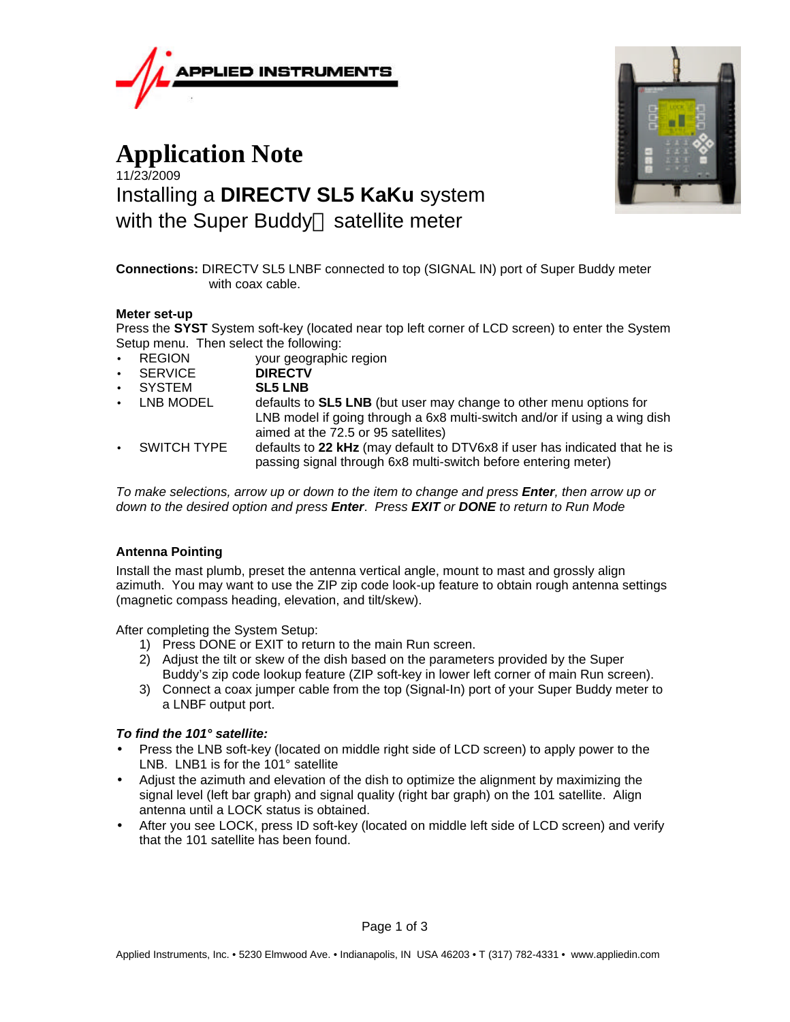

# **Application Note** 11/23/2009 Installing a **DIRECTV SL5 KaKu** system with the Super Buddy<sup> $M$ </sup> satellite meter



**Connections:** DIRECTV SL5 LNBF connected to top (SIGNAL IN) port of Super Buddy meter with coax cable.

#### **Meter set-up**

Press the **SYST** System soft-key (located near top left corner of LCD screen) to enter the System Setup menu. Then select the following:

- REGION your geographic region
- SERVICE **DIRECTV**
- SYSTEM **SL5 LNB**
- LNB MODEL defaults to **SL5 LNB** (but user may change to other menu options for LNB model if going through a 6x8 multi-switch and/or if using a wing dish aimed at the 72.5 or 95 satellites)
- SWITCH TYPE defaults to **22 kHz** (may default to DTV6x8 if user has indicated that he is passing signal through 6x8 multi-switch before entering meter)

*To make selections, arrow up or down to the item to change and press Enter, then arrow up or down to the desired option and press Enter*. *Press EXIT or DONE to return to Run Mode*

## **Antenna Pointing**

Install the mast plumb, preset the antenna vertical angle, mount to mast and grossly align azimuth. You may want to use the ZIP zip code look-up feature to obtain rough antenna settings (magnetic compass heading, elevation, and tilt/skew).

After completing the System Setup:

- 1) Press DONE or EXIT to return to the main Run screen.
- 2) Adjust the tilt or skew of the dish based on the parameters provided by the Super Buddy's zip code lookup feature (ZIP soft-key in lower left corner of main Run screen).
- 3) Connect a coax jumper cable from the top (Signal-In) port of your Super Buddy meter to a LNBF output port.

## *To find the 101° satellite:*

- Press the LNB soft-key (located on middle right side of LCD screen) to apply power to the LNB. LNB1 is for the 101° satellite
- Adjust the azimuth and elevation of the dish to optimize the alignment by maximizing the signal level (left bar graph) and signal quality (right bar graph) on the 101 satellite. Align antenna until a LOCK status is obtained.
- After you see LOCK, press ID soft-key (located on middle left side of LCD screen) and verify that the 101 satellite has been found.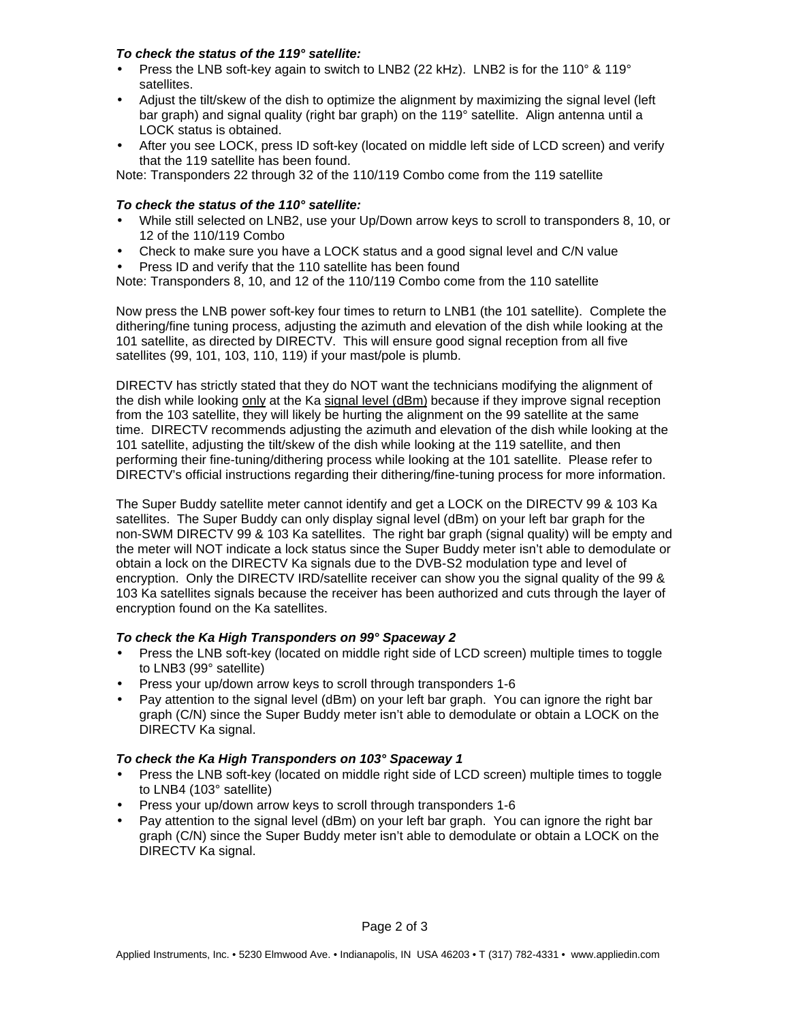#### *To check the status of the 119° satellite:*

- Press the LNB soft-key again to switch to LNB2 (22 kHz). LNB2 is for the 110° & 119° satellites.
- Adjust the tilt/skew of the dish to optimize the alignment by maximizing the signal level (left bar graph) and signal quality (right bar graph) on the 119° satellite. Align antenna until a LOCK status is obtained.
- After you see LOCK, press ID soft-key (located on middle left side of LCD screen) and verify that the 119 satellite has been found.

Note: Transponders 22 through 32 of the 110/119 Combo come from the 119 satellite

# *To check the status of the 110° satellite:*

- While still selected on LNB2, use your Up/Down arrow keys to scroll to transponders 8, 10, or 12 of the 110/119 Combo
- Check to make sure you have a LOCK status and a good signal level and C/N value
- Press ID and verify that the 110 satellite has been found

Note: Transponders 8, 10, and 12 of the 110/119 Combo come from the 110 satellite

Now press the LNB power soft-key four times to return to LNB1 (the 101 satellite). Complete the dithering/fine tuning process, adjusting the azimuth and elevation of the dish while looking at the 101 satellite, as directed by DIRECTV. This will ensure good signal reception from all five satellites (99, 101, 103, 110, 119) if your mast/pole is plumb.

DIRECTV has strictly stated that they do NOT want the technicians modifying the alignment of the dish while looking only at the Ka signal level (dBm) because if they improve signal reception from the 103 satellite, they will likely be hurting the alignment on the 99 satellite at the same time. DIRECTV recommends adjusting the azimuth and elevation of the dish while looking at the 101 satellite, adjusting the tilt/skew of the dish while looking at the 119 satellite, and then performing their fine-tuning/dithering process while looking at the 101 satellite. Please refer to DIRECTV's official instructions regarding their dithering/fine-tuning process for more information.

The Super Buddy satellite meter cannot identify and get a LOCK on the DIRECTV 99 & 103 Ka satellites. The Super Buddy can only display signal level (dBm) on your left bar graph for the non-SWM DIRECTV 99 & 103 Ka satellites. The right bar graph (signal quality) will be empty and the meter will NOT indicate a lock status since the Super Buddy meter isn't able to demodulate or obtain a lock on the DIRECTV Ka signals due to the DVB-S2 modulation type and level of encryption. Only the DIRECTV IRD/satellite receiver can show you the signal quality of the 99 & 103 Ka satellites signals because the receiver has been authorized and cuts through the layer of encryption found on the Ka satellites.

## *To check the Ka High Transponders on 99° Spaceway 2*

- Press the LNB soft-key (located on middle right side of LCD screen) multiple times to toggle to LNB3 (99° satellite)
- Press your up/down arrow keys to scroll through transponders 1-6
- Pay attention to the signal level (dBm) on your left bar graph. You can ignore the right bar graph (C/N) since the Super Buddy meter isn't able to demodulate or obtain a LOCK on the DIRECTV Ka signal.

## *To check the Ka High Transponders on 103° Spaceway 1*

- Press the LNB soft-key (located on middle right side of LCD screen) multiple times to toggle to LNB4 (103° satellite)
- Press your up/down arrow keys to scroll through transponders 1-6
- Pay attention to the signal level (dBm) on your left bar graph. You can ignore the right bar graph (C/N) since the Super Buddy meter isn't able to demodulate or obtain a LOCK on the DIRECTV Ka signal.